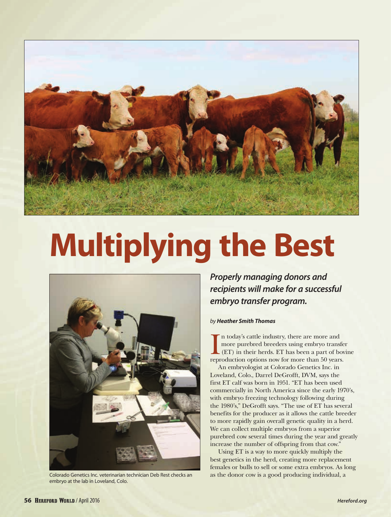

# **Multiplying the Best**



embryo at the lab in Loveland, Colo.

*Properly managing donors and recipients will make for a successful embryo transfer program.*

# *by Heather Smith Thomas*

In today's cattle industry, there are more and<br>more purebred breeders using embryo transfer (ET) in their herds. ET has been a part of bor<br>reproduction options now for more than 50 years. n today's cattle industry, there are more and more purebred breeders using embryo transfer (ET) in their herds. ET has been a part of bovine

An embryologist at Colorado Genetics Inc. in Loveland, Colo., Darrel DeGrofft, DVM, says the first ET calf was born in 1951. "ET has been used commercially in North America since the early 1970's, with embryo freezing technology following during the 1980's," DeGrofft says. "The use of ET has several benefits for the producer as it allows the cattle breeder to more rapidly gain overall genetic quality in a herd. We can collect multiple embryos from a superior purebred cow several times during the year and greatly increase the number of offspring from that cow."

Using ET is a way to more quickly multiply the best genetics in the herd, creating more replacement females or bulls to sell or some extra embryos. As long Colorado Genetics Inc. veterinarian technician Deb Rest checks an as the donor cow is a good producing individual, a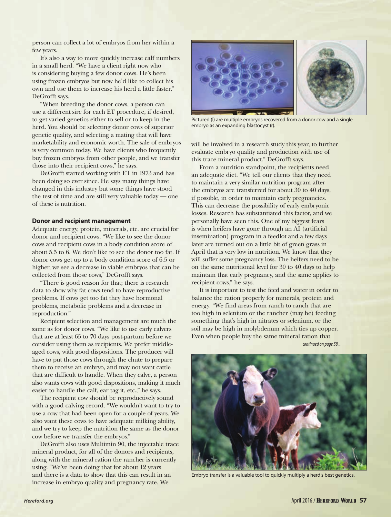person can collect a lot of embryos from her within a few years.

It's also a way to more quickly increase calf numbers in a small herd. "We have a client right now who is considering buying a few donor cows. He's been using frozen embryos but now he'd like to collect his own and use them to increase his herd a little faster," DeGrofft says.

"When breeding the donor cows, a person can use a different sire for each ET procedure, if desired, to get varied genetics either to sell or to keep in the herd. You should be selecting donor cows of superior genetic quality, and selecting a mating that will have marketability and economic worth. The sale of embryos is very common today. We have clients who frequently buy frozen embryos from other people, and we transfer those into their recipient cows," he says.

DeGrofft started working with ET in 1973 and has been doing so ever since. He says many things have changed in this industry but some things have stood the test of time and are still very valuable today — one of these is nutrition.

### **Donor and recipient management**

Adequate energy, protein, minerals, etc. are crucial for donor and recipient cows. "We like to see the donor cows and recipient cows in a body condition score of about 5.5 to 6. We don't like to see the donor too fat. If donor cows get up to a body condition score of 6.5 or higher, we see a decrease in viable embryos that can be collected from those cows," DeGrofft says.

"There is good reason for that; there is research data to show why fat cows tend to have reproductive problems. If cows get too fat they have hormonal problems, metabolic problems and a decrease in reproduction."

Recipient selection and management are much the same as for donor cows. "We like to use early calvers that are at least 65 to 70 days post-partum before we consider using them as recipients. We prefer middleaged cows, with good dispositions. The producer will have to put those cows through the chute to prepare them to receive an embryo, and may not want cattle that are difficult to handle. When they calve, a person also wants cows with good dispositions, making it much easier to handle the calf, ear tag it, etc.," he says.

The recipient cow should be reproductively sound with a good calving record. "We wouldn't want to try to use a cow that had been open for a couple of years. We also want these cows to have adequate milking ability, and we try to keep the nutrition the same as the donor cow before we transfer the embryos."

DeGrofft also uses Multimin 90, the injectable trace mineral product, for all of the donors and recipients, along with the mineral ration the rancher is currently using. "We've been doing that for about 12 years and there is a data to show that this can result in an increase in embryo quality and pregnancy rate. We



Pictured (l) are multiple embryos recovered from a donor cow and a single embryo as an expanding blastocyst (r).

will be involved in a research study this year, to further evaluate embryo quality and production with use of this trace mineral product," DeGrofft says.

From a nutrition standpoint, the recipients need an adequate diet. "We tell our clients that they need to maintain a very similar nutrition program after the embryos are transferred for about 30 to 40 days, if possible, in order to maintain early pregnancies. This can decrease the possibility of early embryonic losses. Research has substantiated this factor, and we personally have seen this. One of my biggest fears is when heifers have gone through an AI (artificial insemination) program in a feedlot and a few days later are turned out on a little bit of green grass in April that is very low in nutrition. We know that they will suffer some pregnancy loss. The heifers need to be on the same nutritional level for 30 to 40 days to help maintain that early pregnancy, and the same applies to recipient cows," he says.

It is important to test the feed and water in order to balance the ration properly for minerals, protein and energy. "We find areas from ranch to ranch that are too high in selenium or the rancher (may be) feeding something that's high in nitrates or selenium, or the soil may be high in molybdenum which ties up copper. Even when people buy the same mineral ration that

*continued on page 58...*



Embryo transfer is a valuable tool to quickly multiply a herd's best genetics.